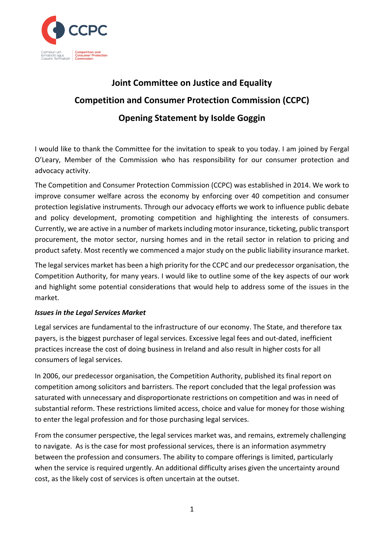

## **Joint Committee on Justice and Equality Competition and Consumer Protection Commission (CCPC) Opening Statement by Isolde Goggin**

I would like to thank the Committee for the invitation to speak to you today. I am joined by Fergal O'Leary, Member of the Commission who has responsibility for our consumer protection and advocacy activity.

The Competition and Consumer Protection Commission (CCPC) was established in 2014. We work to improve consumer welfare across the economy by enforcing over 40 competition and consumer protection legislative instruments. Through our advocacy efforts we work to influence public debate and policy development, promoting competition and highlighting the interests of consumers. Currently, we are active in a number of markets including motor insurance, ticketing, public transport procurement, the motor sector, nursing homes and in the retail sector in relation to pricing and product safety. Most recently we commenced a major study on the public liability insurance market.

The legal services market has been a high priority for the CCPC and our predecessor organisation, the Competition Authority, for many years. I would like to outline some of the key aspects of our work and highlight some potential considerations that would help to address some of the issues in the market.

## *Issues in the Legal Services Market*

Legal services are fundamental to the infrastructure of our economy. The State, and therefore tax payers, is the biggest purchaser of legal services. Excessive legal fees and out-dated, inefficient practices increase the cost of doing business in Ireland and also result in higher costs for all consumers of legal services.

In 2006, our predecessor organisation, the Competition Authority, published its final report on competition among solicitors and barristers. The report concluded that the legal profession was saturated with unnecessary and disproportionate restrictions on competition and was in need of substantial reform. These restrictions limited access, choice and value for money for those wishing to enter the legal profession and for those purchasing legal services.

From the consumer perspective, the legal services market was, and remains, extremely challenging to navigate. As is the case for most professional services, there is an information asymmetry between the profession and consumers. The ability to compare offerings is limited, particularly when the service is required urgently. An additional difficulty arises given the uncertainty around cost, as the likely cost of services is often uncertain at the outset.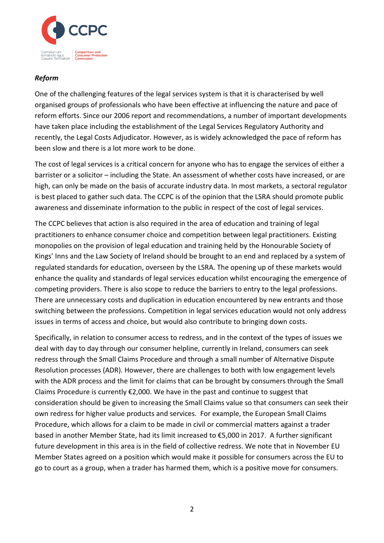

## *Reform*

One of the challenging features of the legal services system is that it is characterised by well organised groups of professionals who have been effective at influencing the nature and pace of reform efforts. Since our 2006 report and recommendations, a number of important developments have taken place including the establishment of the Legal Services Regulatory Authority and recently, the Legal Costs Adjudicator. However, as is widely acknowledged the pace of reform has been slow and there is a lot more work to be done.

The cost of legal services is a critical concern for anyone who has to engage the services of either a barrister or a solicitor – including the State. An assessment of whether costs have increased, or are high, can only be made on the basis of accurate industry data. In most markets, a sectoral regulator is best placed to gather such data. The CCPC is of the opinion that the LSRA should promote public awareness and disseminate information to the public in respect of the cost of legal services.

The CCPC believes that action is also required in the area of education and training of legal practitioners to enhance consumer choice and competition between legal practitioners. Existing monopolies on the provision of legal education and training held by the Honourable Society of Kings' Inns and the Law Society of Ireland should be brought to an end and replaced by a system of regulated standards for education, overseen by the LSRA. The opening up of these markets would enhance the quality and standards of legal services education whilst encouraging the emergence of competing providers. There is also scope to reduce the barriers to entry to the legal professions. There are unnecessary costs and duplication in education encountered by new entrants and those switching between the professions. Competition in legal services education would not only address issues in terms of access and choice, but would also contribute to bringing down costs.

Specifically, in relation to consumer access to redress, and in the context of the types of issues we deal with day to day through our consumer helpline, currently in Ireland, consumers can seek redress through the Small Claims Procedure and through a small number of Alternative Dispute Resolution processes (ADR). However, there are challenges to both with low engagement levels with the ADR process and the limit for claims that can be brought by consumers through the Small Claims Procedure is currently  $\epsilon$ 2,000. We have in the past and continue to suggest that consideration should be given to increasing the Small Claims value so that consumers can seek their own redress for higher value products and services. For example, the European Small Claims Procedure, which allows for a claim to be made in civil or commercial matters against a trader based in another Member State, had its limit increased to €5,000 in 2017. A further significant future development in this area is in the field of collective redress. We note that in November EU Member States agreed on a position which would make it possible for consumers across the EU to go to court as a group, when a trader has harmed them, which is a positive move for consumers.